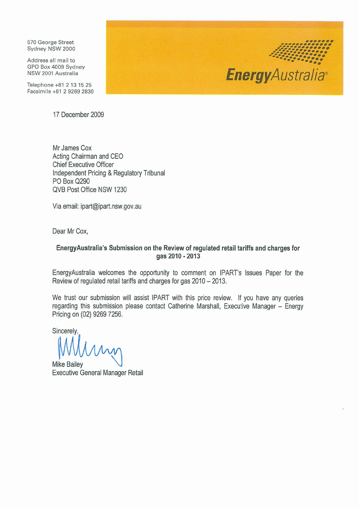570 George Street Sydney NSW 2000

Address all mail to GPO Box 4009 Sydney NSW 2001 Australia

Telephone +61 2 13 15 25 Facsimile +61 2 9269 2830

17 December 2009

Mr James Cox Acting Chairman and CEO **Chief Executive Officer** Independent Pricing & Regulatory Tribunal PO Box Q290 QVB Post Office NSW 1230

Via email: ipart@ipart.nsw.gov.au

Dear Mr Cox.

#### EnergyAustralia's Submission on the Review of regulated retail tariffs and charges for gas 2010 - 2013

EnergyAustralia welcomes the opportunity to comment on IPART's Issues Paper for the Review of regulated retail tariffs and charges for gas 2010 - 2013.

We trust our submission will assist IPART with this price review. If you have any queries regarding this submission please contact Catherine Marshall, Executive Manager - Energy Pricing on (02) 9269 7256.

Sincerely,

**Mike Bailey Executive General Manager Retail** 

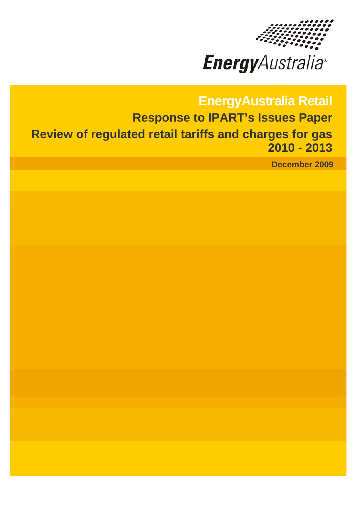

**Energy**Australia®

# **EnergyAustralia Retail Response to IPART's Issues Paper Review of regulated retail tariffs and charges for gas 2010 - 2013**

**December 2009**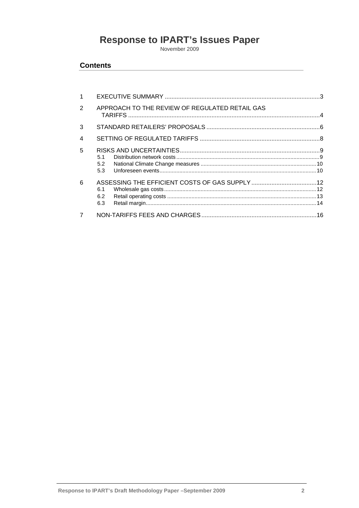# Response to IPART's Issues Paper

#### **Contents**

| 1                        |                                                |  |
|--------------------------|------------------------------------------------|--|
| 2                        | APPROACH TO THE REVIEW OF REGULATED RETAIL GAS |  |
| 3                        |                                                |  |
| $\overline{\mathcal{A}}$ |                                                |  |
| 5                        | 5.1<br>5.2                                     |  |
| 6                        | 6.1<br>6.2<br>6.3                              |  |
| $\overline{7}$           |                                                |  |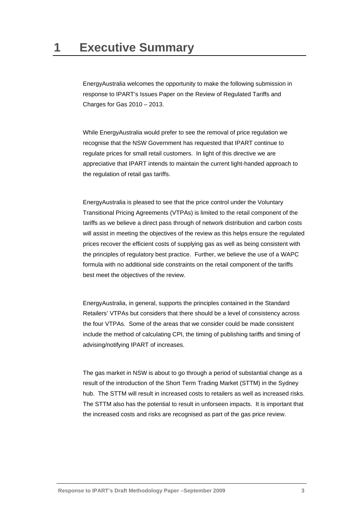<span id="page-3-0"></span>EnergyAustralia welcomes the opportunity to make the following submission in response to IPART's Issues Paper on the Review of Regulated Tariffs and Charges for Gas 2010 – 2013.

While EnergyAustralia would prefer to see the removal of price regulation we recognise that the NSW Government has requested that IPART continue to regulate prices for small retail customers. In light of this directive we are appreciative that IPART intends to maintain the current light-handed approach to the regulation of retail gas tariffs.

EnergyAustralia is pleased to see that the price control under the Voluntary Transitional Pricing Agreements (VTPAs) is limited to the retail component of the tariffs as we believe a direct pass through of network distribution and carbon costs will assist in meeting the objectives of the review as this helps ensure the regulated prices recover the efficient costs of supplying gas as well as being consistent with the principles of regulatory best practice. Further, we believe the use of a WAPC formula with no additional side constraints on the retail component of the tariffs best meet the objectives of the review.

EnergyAustralia, in general, supports the principles contained in the Standard Retailers' VTPAs but considers that there should be a level of consistency across the four VTPAs. Some of the areas that we consider could be made consistent include the method of calculating CPI, the timing of publishing tariffs and timing of advising/notifying IPART of increases.

The gas market in NSW is about to go through a period of substantial change as a result of the introduction of the Short Term Trading Market (STTM) in the Sydney hub. The STTM will result in increased costs to retailers as well as increased risks. The STTM also has the potential to result in unforseen impacts. It is important that the increased costs and risks are recognised as part of the gas price review.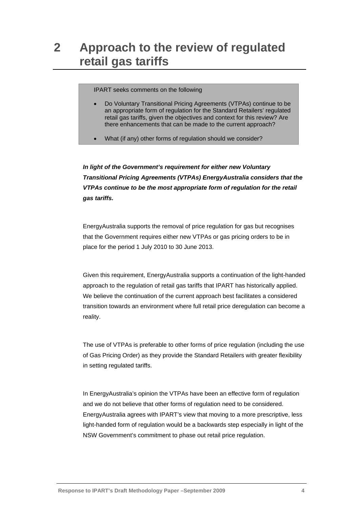## <span id="page-4-0"></span>**2 Approach to the review of regulated retail gas tariffs**

IPART seeks comments on the following

- Do Voluntary Transitional Pricing Agreements (VTPAs) continue to be an appropriate form of regulation for the Standard Retailers' regulated retail gas tariffs, given the objectives and context for this review? Are there enhancements that can be made to the current approach?
- What (if any) other forms of regulation should we consider?

*In light of the Government's requirement for either new Voluntary Transitional Pricing Agreements (VTPAs) EnergyAustralia considers that the VTPAs continue to be the most appropriate form of regulation for the retail gas tariffs.* 

EnergyAustralia supports the removal of price regulation for gas but recognises that the Government requires either new VTPAs or gas pricing orders to be in place for the period 1 July 2010 to 30 June 2013.

Given this requirement, EnergyAustralia supports a continuation of the light-handed approach to the regulation of retail gas tariffs that IPART has historically applied. We believe the continuation of the current approach best facilitates a considered transition towards an environment where full retail price deregulation can become a reality.

The use of VTPAs is preferable to other forms of price regulation (including the use of Gas Pricing Order) as they provide the Standard Retailers with greater flexibility in setting regulated tariffs.

In EnergyAustralia's opinion the VTPAs have been an effective form of regulation and we do not believe that other forms of regulation need to be considered. EnergyAustralia agrees with IPART's view that moving to a more prescriptive, less light-handed form of regulation would be a backwards step especially in light of the NSW Government's commitment to phase out retail price regulation.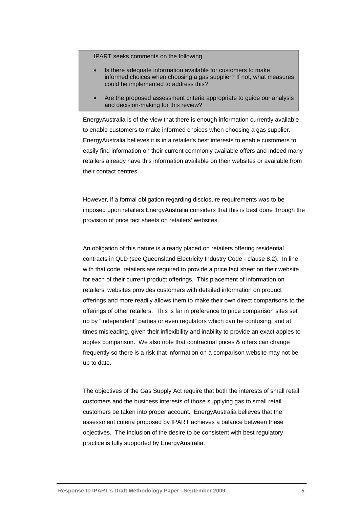- Is there adequate information available for customers to make informed choices when choosing a gas supplier? If not, what measures could be implemented to address this?
- Are the proposed assessment criteria appropriate to guide our analysis and decision-making for this review?

EnergyAustralia is of the view that there is enough information currently available to enable customers to make informed choices when choosing a gas supplier. EnergyAustralia believes it is in a retailer's best interests to enable customers to easily find information on their current commonly available offers and indeed many retailers already have this information available on their websites or available from their contact centres.

However, if a formal obligation regarding disclosure requirements was to be imposed upon retailers EnergyAustralia considers that this is best done through the provision of price fact sheets on retailers' websites.

An obligation of this nature is already placed on retailers offering residential contracts in QLD (see Queensland Electricity Industry Code - clause 8.2). In line with that code, retailers are required to provide a price fact sheet on their website for each of their current product offerings. This placement of information on retailers' websites provides customers with detailed information on product offerings and more readily allows them to make their own direct comparisons to the offerings of other retailers. This is far in preference to price comparison sites set up by "independent" parties or even regulators which can be confusing, and at times misleading, given their inflexibility and inability to provide an exact apples to apples comparison. We also note that contractual prices & offers can change frequently so there is a risk that information on a comparison website may not be up to date.

The objectives of the Gas Supply Act require that both the interests of small retail customers and the business interests of those supplying gas to small retail customers be taken into proper account. EnergyAustralia believes that the assessment criteria proposed by IPART achieves a balance between these objectives. The inclusion of the desire to be consistent with best regulatory practice is fully supported by EnergyAustralia.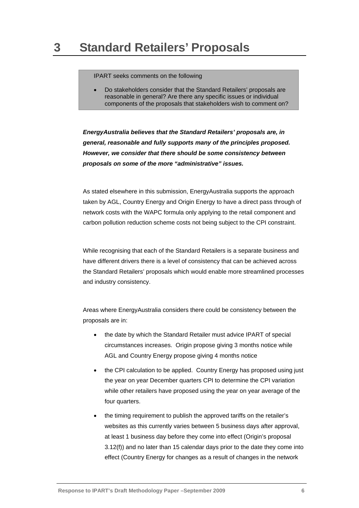<span id="page-6-0"></span>• Do stakeholders consider that the Standard Retailers' proposals are reasonable in general? Are there any specific issues or individual components of the proposals that stakeholders wish to comment on?

*EnergyAustralia believes that the Standard Retailers' proposals are, in general, reasonable and fully supports many of the principles proposed. However, we consider that there should be some consistency between proposals on some of the more "administrative" issues.* 

As stated elsewhere in this submission, EnergyAustralia supports the approach taken by AGL, Country Energy and Origin Energy to have a direct pass through of network costs with the WAPC formula only applying to the retail component and carbon pollution reduction scheme costs not being subject to the CPI constraint.

While recognising that each of the Standard Retailers is a separate business and have different drivers there is a level of consistency that can be achieved across the Standard Retailers' proposals which would enable more streamlined processes and industry consistency.

Areas where EnergyAustralia considers there could be consistency between the proposals are in:

- the date by which the Standard Retailer must advice IPART of special circumstances increases. Origin propose giving 3 months notice while AGL and Country Energy propose giving 4 months notice
- the CPI calculation to be applied. Country Energy has proposed using just the year on year December quarters CPI to determine the CPI variation while other retailers have proposed using the year on year average of the four quarters.
- the timing requirement to publish the approved tariffs on the retailer's websites as this currently varies between 5 business days after approval, at least 1 business day before they come into effect (Origin's proposal 3.12(f)) and no later than 15 calendar days prior to the date they come into effect (Country Energy for changes as a result of changes in the network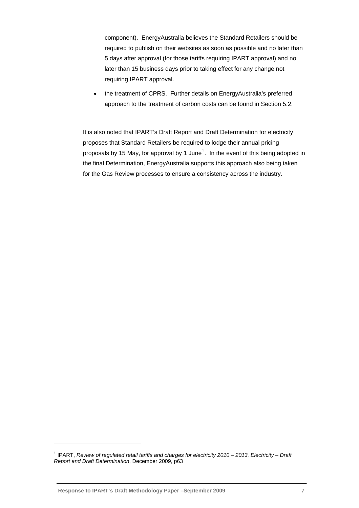component). EnergyAustralia believes the Standard Retailers should be required to publish on their websites as soon as possible and no later than 5 days after approval (for those tariffs requiring IPART approval) and no later than 15 business days prior to taking effect for any change not requiring IPART approval.

• the treatment of CPRS. Further details on EnergyAustralia's preferred approach to the treatment of carbon costs can be found in Section [5.2.](#page-10-1)

It is also noted that IPART's Draft Report and Draft Determination for electricity proposes that Standard Retailers be required to lodge their annual pricing proposals by [1](#page-7-0)5 May, for approval by 1 June<sup>1</sup>. In the event of this being adopted in the final Determination, EnergyAustralia supports this approach also being taken for the Gas Review processes to ensure a consistency across the industry.

l

<span id="page-7-0"></span><sup>&</sup>lt;sup>1</sup> IPART, *Review of regulated retail tariffs and charges for electricity 2010 – 2013. Electricity – Draft Report and Draft Determination*, December 2009, p63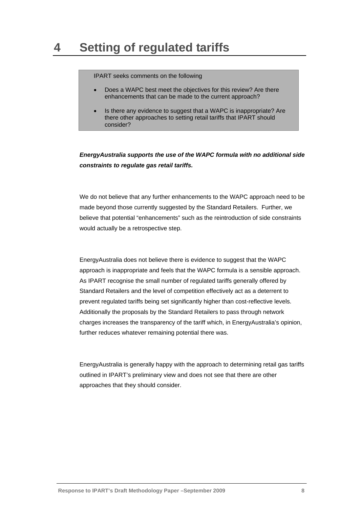- <span id="page-8-0"></span>• Does a WAPC best meet the objectives for this review? Are there enhancements that can be made to the current approach?
- Is there any evidence to suggest that a WAPC is inappropriate? Are there other approaches to setting retail tariffs that IPART should consider?

*EnergyAustralia supports the use of the WAPC formula with no additional side constraints to regulate gas retail tariffs.* 

We do not believe that any further enhancements to the WAPC approach need to be made beyond those currently suggested by the Standard Retailers. Further, we believe that potential "enhancements" such as the reintroduction of side constraints would actually be a retrospective step.

EnergyAustralia does not believe there is evidence to suggest that the WAPC approach is inappropriate and feels that the WAPC formula is a sensible approach. As IPART recognise the small number of regulated tariffs generally offered by Standard Retailers and the level of competition effectively act as a deterrent to prevent regulated tariffs being set significantly higher than cost-reflective levels. Additionally the proposals by the Standard Retailers to pass through network charges increases the transparency of the tariff which, in EnergyAustralia's opinion, further reduces whatever remaining potential there was.

EnergyAustralia is generally happy with the approach to determining retail gas tariffs outlined in IPART's preliminary view and does not see that there are other approaches that they should consider.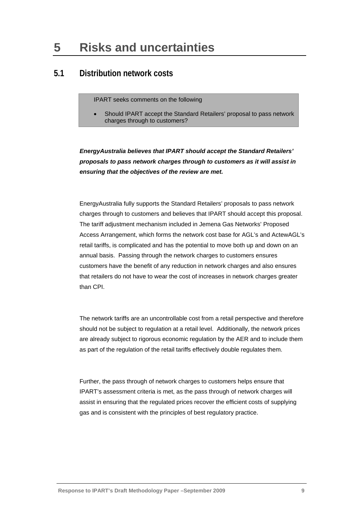## <span id="page-9-0"></span>**5 Risks and uncertainties**

#### **5.1 Distribution network costs**

IPART seeks comments on the following

• Should IPART accept the Standard Retailers' proposal to pass network charges through to customers?

*EnergyAustralia believes that IPART should accept the Standard Retailers' proposals to pass network charges through to customers as it will assist in ensuring that the objectives of the review are met.* 

EnergyAustralia fully supports the Standard Retailers' proposals to pass network charges through to customers and believes that IPART should accept this proposal. The tariff adjustment mechanism included in Jemena Gas Networks' Proposed Access Arrangement, which forms the network cost base for AGL's and ActewAGL's retail tariffs, is complicated and has the potential to move both up and down on an annual basis. Passing through the network charges to customers ensures customers have the benefit of any reduction in network charges and also ensures that retailers do not have to wear the cost of increases in network charges greater than CPI.

The network tariffs are an uncontrollable cost from a retail perspective and therefore should not be subject to regulation at a retail level. Additionally, the network prices are already subject to rigorous economic regulation by the AER and to include them as part of the regulation of the retail tariffs effectively double regulates them.

Further, the pass through of network charges to customers helps ensure that IPART's assessment criteria is met, as the pass through of network charges will assist in ensuring that the regulated prices recover the efficient costs of supplying gas and is consistent with the principles of best regulatory practice.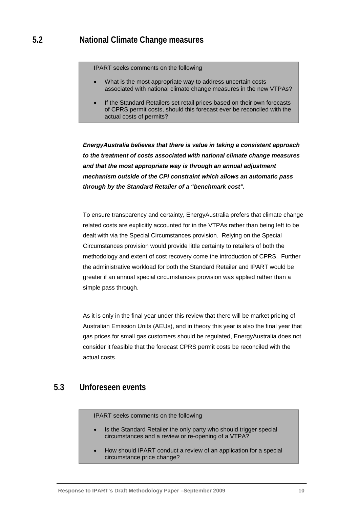- <span id="page-10-1"></span><span id="page-10-0"></span>What is the most appropriate way to address uncertain costs associated with national climate change measures in the new VTPAs?
- If the Standard Retailers set retail prices based on their own forecasts of CPRS permit costs, should this forecast ever be reconciled with the actual costs of permits?

*EnergyAustralia believes that there is value in taking a consistent approach to the treatment of costs associated with national climate change measures and that the most appropriate way is through an annual adjustment mechanism outside of the CPI constraint which allows an automatic pass through by the Standard Retailer of a "benchmark cost".* 

To ensure transparency and certainty, EnergyAustralia prefers that climate change related costs are explicitly accounted for in the VTPAs rather than being left to be dealt with via the Special Circumstances provision. Relying on the Special Circumstances provision would provide little certainty to retailers of both the methodology and extent of cost recovery come the introduction of CPRS. Further the administrative workload for both the Standard Retailer and IPART would be greater if an annual special circumstances provision was applied rather than a simple pass through.

As it is only in the final year under this review that there will be market pricing of Australian Emission Units (AEUs), and in theory this year is also the final year that gas prices for small gas customers should be regulated, EnergyAustralia does not consider it feasible that the forecast CPRS permit costs be reconciled with the actual costs.

## **5.3 Unforeseen events**

IPART seeks comments on the following

- Is the Standard Retailer the only party who should trigger special circumstances and a review or re-opening of a VTPA?
- How should IPART conduct a review of an application for a special circumstance price change?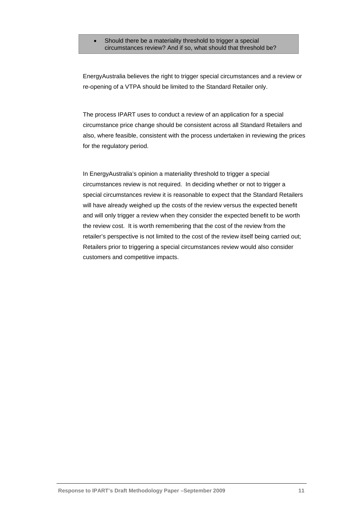Should there be a materiality threshold to trigger a special circumstances review? And if so, what should that threshold be?

EnergyAustralia believes the right to trigger special circumstances and a review or re-opening of a VTPA should be limited to the Standard Retailer only.

The process IPART uses to conduct a review of an application for a special circumstance price change should be consistent across all Standard Retailers and also, where feasible, consistent with the process undertaken in reviewing the prices for the regulatory period.

In EnergyAustralia's opinion a materiality threshold to trigger a special circumstances review is not required. In deciding whether or not to trigger a special circumstances review it is reasonable to expect that the Standard Retailers will have already weighed up the costs of the review versus the expected benefit and will only trigger a review when they consider the expected benefit to be worth the review cost. It is worth remembering that the cost of the review from the retailer's perspective is not limited to the cost of the review itself being carried out; Retailers prior to triggering a special circumstances review would also consider customers and competitive impacts.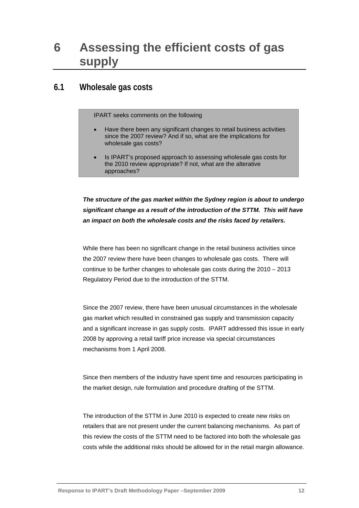# <span id="page-12-0"></span>**6 Assessing the efficient costs of gas supply**

## **6.1 Wholesale gas costs**

IPART seeks comments on the following

- Have there been any significant changes to retail business activities since the 2007 review? And if so, what are the implications for wholesale gas costs?
- Is IPART's proposed approach to assessing wholesale gas costs for the 2010 review appropriate? If not, what are the alterative approaches?

*The structure of the gas market within the Sydney region is about to undergo significant change as a result of the introduction of the STTM. This will have an impact on both the wholesale costs and the risks faced by retailers.* 

While there has been no significant change in the retail business activities since the 2007 review there have been changes to wholesale gas costs. There will continue to be further changes to wholesale gas costs during the 2010 – 2013 Regulatory Period due to the introduction of the STTM.

Since the 2007 review, there have been unusual circumstances in the wholesale gas market which resulted in constrained gas supply and transmission capacity and a significant increase in gas supply costs. IPART addressed this issue in early 2008 by approving a retail tariff price increase via special circumstances mechanisms from 1 April 2008.

Since then members of the industry have spent time and resources participating in the market design, rule formulation and procedure drafting of the STTM.

The introduction of the STTM in June 2010 is expected to create new risks on retailers that are not present under the current balancing mechanisms. As part of this review the costs of the STTM need to be factored into both the wholesale gas costs while the additional risks should be allowed for in the retail margin allowance.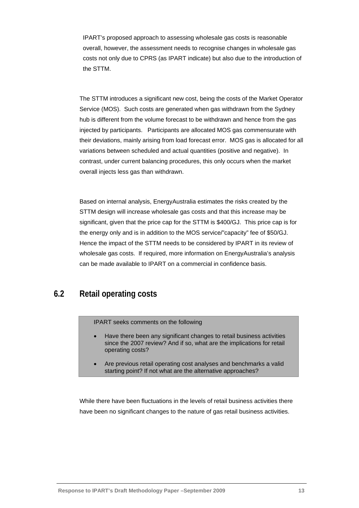<span id="page-13-0"></span>IPART's proposed approach to assessing wholesale gas costs is reasonable overall, however, the assessment needs to recognise changes in wholesale gas costs not only due to CPRS (as IPART indicate) but also due to the introduction of the STTM.

The STTM introduces a significant new cost, being the costs of the Market Operator Service (MOS). Such costs are generated when gas withdrawn from the Sydney hub is different from the volume forecast to be withdrawn and hence from the gas injected by participants. Participants are allocated MOS gas commensurate with their deviations, mainly arising from load forecast error. MOS gas is allocated for all variations between scheduled and actual quantities (positive and negative). In contrast, under current balancing procedures, this only occurs when the market overall injects less gas than withdrawn.

Based on internal analysis, EnergyAustralia estimates the risks created by the STTM design will increase wholesale gas costs and that this increase may be significant, given that the price cap for the STTM is \$400/GJ. This price cap is for the energy only and is in addition to the MOS service/"capacity" fee of \$50/GJ. Hence the impact of the STTM needs to be considered by IPART in its review of wholesale gas costs. If required, more information on EnergyAustralia's analysis can be made available to IPART on a commercial in confidence basis.

## **6.2 Retail operating costs**

IPART seeks comments on the following

- Have there been any significant changes to retail business activities since the 2007 review? And if so, what are the implications for retail operating costs?
- Are previous retail operating cost analyses and benchmarks a valid starting point? If not what are the alternative approaches?

While there have been fluctuations in the levels of retail business activities there have been no significant changes to the nature of gas retail business activities.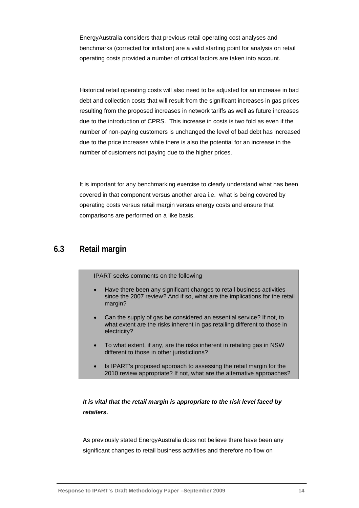<span id="page-14-0"></span>EnergyAustralia considers that previous retail operating cost analyses and benchmarks (corrected for inflation) are a valid starting point for analysis on retail operating costs provided a number of critical factors are taken into account.

Historical retail operating costs will also need to be adjusted for an increase in bad debt and collection costs that will result from the significant increases in gas prices resulting from the proposed increases in network tariffs as well as future increases due to the introduction of CPRS. This increase in costs is two fold as even if the number of non-paying customers is unchanged the level of bad debt has increased due to the price increases while there is also the potential for an increase in the number of customers not paying due to the higher prices.

It is important for any benchmarking exercise to clearly understand what has been covered in that component versus another area i.e. what is being covered by operating costs versus retail margin versus energy costs and ensure that comparisons are performed on a like basis.

#### **6.3 Retail margin**

IPART seeks comments on the following

- Have there been any significant changes to retail business activities since the 2007 review? And if so, what are the implications for the retail margin?
- Can the supply of gas be considered an essential service? If not, to what extent are the risks inherent in gas retailing different to those in electricity?
- To what extent, if any, are the risks inherent in retailing gas in NSW different to those in other jurisdictions?
- Is IPART's proposed approach to assessing the retail margin for the 2010 review appropriate? If not, what are the alternative approaches?

#### *It is vital that the retail margin is appropriate to the risk level faced by retailers.*

As previously stated EnergyAustralia does not believe there have been any significant changes to retail business activities and therefore no flow on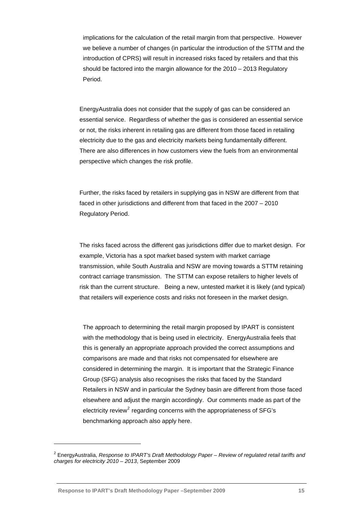implications for the calculation of the retail margin from that perspective. However we believe a number of changes (in particular the introduction of the STTM and the introduction of CPRS) will result in increased risks faced by retailers and that this should be factored into the margin allowance for the 2010 – 2013 Regulatory Period.

EnergyAustralia does not consider that the supply of gas can be considered an essential service. Regardless of whether the gas is considered an essential service or not, the risks inherent in retailing gas are different from those faced in retailing electricity due to the gas and electricity markets being fundamentally different. There are also differences in how customers view the fuels from an environmental perspective which changes the risk profile.

Further, the risks faced by retailers in supplying gas in NSW are different from that faced in other jurisdictions and different from that faced in the 2007 – 2010 Regulatory Period.

The risks faced across the different gas jurisdictions differ due to market design. For example, Victoria has a spot market based system with market carriage transmission, while South Australia and NSW are moving towards a STTM retaining contract carriage transmission. The STTM can expose retailers to higher levels of risk than the current structure. Being a new, untested market it is likely (and typical) that retailers will experience costs and risks not foreseen in the market design.

The approach to determining the retail margin proposed by IPART is consistent with the methodology that is being used in electricity. EnergyAustralia feels that this is generally an appropriate approach provided the correct assumptions and comparisons are made and that risks not compensated for elsewhere are considered in determining the margin. It is important that the Strategic Finance Group (SFG) analysis also recognises the risks that faced by the Standard Retailers in NSW and in particular the Sydney basin are different from those faced elsewhere and adjust the margin accordingly. Our comments made as part of the electricity review<sup>[2](#page-15-0)</sup> regarding concerns with the appropriateness of SFG's benchmarking approach also apply here.

l

<span id="page-15-0"></span><sup>2</sup> EnergyAustralia, *Response to IPART's Draft Methodology Paper – Review of regulated retail tariffs and charges for electricity 2010 – 2013*, September 2009